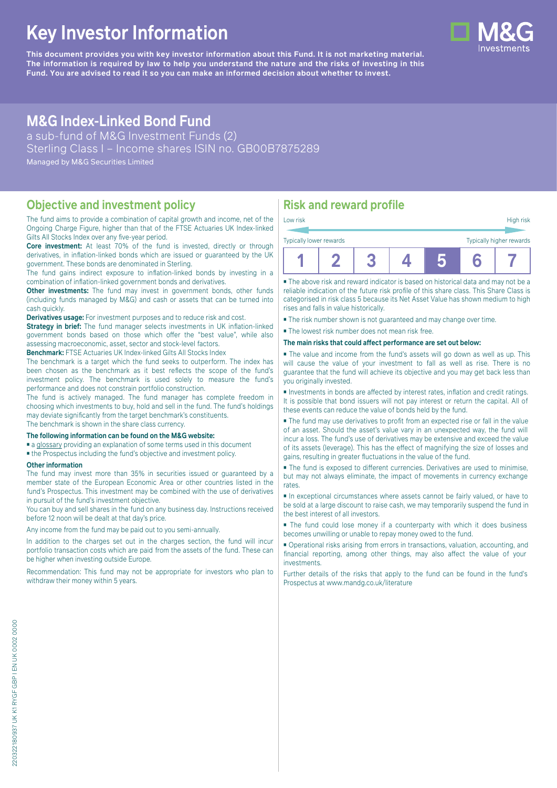# **Key Investor Information**

**This document provides you with key investor information about this Fund. It is not marketing material.** The information is required by law to help you understand the nature and the risks of investing in this **Fund. You are advised to read it so you can make an informed decision about whether to invest.**

## **M&G Index-Linked Bond Fund**

a sub-fund of M&G Investment Funds (2) Sterling Class I – Income shares ISIN no. GB00B7875289 Managed by M&G Securities Limited

#### **Objective and investment policy**

The fund aims to provide a combination of capital growth and income, net of the Ongoing Charge Figure, higher than that of the FTSE Actuaries UK Index-linked Gilts All Stocks Index over any five-year period.

**Core investment:** At least 70% of the fund is invested, directly or through derivatives, in inflation-linked bonds which are issued or guaranteed by the UK government. These bonds are denominated in Sterling.

The fund gains indirect exposure to inflation-linked bonds by investing in a combination of inflation-linked government bonds and derivatives.

**Other investments:** The fund may invest in government bonds, other funds (including funds managed by M&G) and cash or assets that can be turned into cash quickly.

**Derivatives usage:** For investment purposes and to reduce risk and cost.

**Strategy in brief:** The fund manager selects investments in UK inflation-linked government bonds based on those which offer the "best value", while also assessing macroeconomic, asset, sector and stock-level factors.

**Benchmark:** FTSE Actuaries UK Index-linked Gilts All Stocks Index

The benchmark is a target which the fund seeks to outperform. The index has been chosen as the benchmark as it best reflects the scope of the fund's investment policy. The benchmark is used solely to measure the fund's performance and does not constrain portfolio construction.

The fund is actively managed. The fund manager has complete freedom in choosing which investments to buy, hold and sell in the fund. The fund's holdings may deviate significantly from the target benchmark's constituents. The benchmark is shown in the share class currency.

**The following information can be found on the M&G website:**

- [a glossary](https://docs.mandg.com/docs/glossary-master-en.pdf) providing an explanation of some terms used in this document
- the Prospectus including the fund's objective and investment policy.

#### **Other information**

The fund may invest more than 35% in securities issued or guaranteed by a member state of the European Economic Area or other countries listed in the fund's Prospectus. This investment may be combined with the use of derivatives in pursuit of the fund's investment objective.

You can buy and sell shares in the fund on any business day. Instructions received before 12 noon will be dealt at that day's price.

Any income from the fund may be paid out to you semi-annually.

In addition to the charges set out in the charges section, the fund will incur portfolio transaction costs which are paid from the assets of the fund. These can be higher when investing outside Europe.

Recommendation: This fund may not be appropriate for investors who plan to withdraw their money within 5 years.

### **Risk and reward profile**

| Low risk                                            |  |  |  |  |  | High risk |
|-----------------------------------------------------|--|--|--|--|--|-----------|
| Typically higher rewards<br>Typically lower rewards |  |  |  |  |  |           |
|                                                     |  |  |  |  |  |           |

■ The above risk and reward indicator is based on historical data and may not be a reliable indication of the future risk profile of this share class. This Share Class is categorised in risk class 5 because its Net Asset Value has shown medium to high rises and falls in value historically.

■ The risk number shown is not guaranteed and may change over time.

■ The lowest risk number does not mean risk free.

**The main risks that could affect performance are set out below:**

■ The value and income from the fund's assets will go down as well as up. This will cause the value of your investment to fall as well as rise. There is no guarantee that the fund will achieve its objective and you may get back less than you originally invested.

■ Investments in bonds are affected by interest rates, inflation and credit ratings. It is possible that bond issuers will not pay interest or return the capital. All of these events can reduce the value of bonds held by the fund.

■ The fund may use derivatives to profit from an expected rise or fall in the value of an asset. Should the asset's value vary in an unexpected way, the fund will incur a loss. The fund's use of derivatives may be extensive and exceed the value of its assets (leverage). This has the effect of magnifying the size of losses and gains, resulting in greater fluctuations in the value of the fund.

■ The fund is exposed to different currencies. Derivatives are used to minimise, but may not always eliminate, the impact of movements in currency exchange rates.

■ In exceptional circumstances where assets cannot be fairly valued, or have to be sold at a large discount to raise cash, we may temporarily suspend the fund in the best interest of all investors.

■ The fund could lose money if a counterparty with which it does business becomes unwilling or unable to repay money owed to the fund.

■ Operational risks arising from errors in transactions, valuation, accounting, and financial reporting, among other things, may also affect the value of your investments.

Further details of the risks that apply to the fund can be found in the fund's Prospectus at [www.mandg.co.uk/literature](http://www.mandg.co.uk/literature)